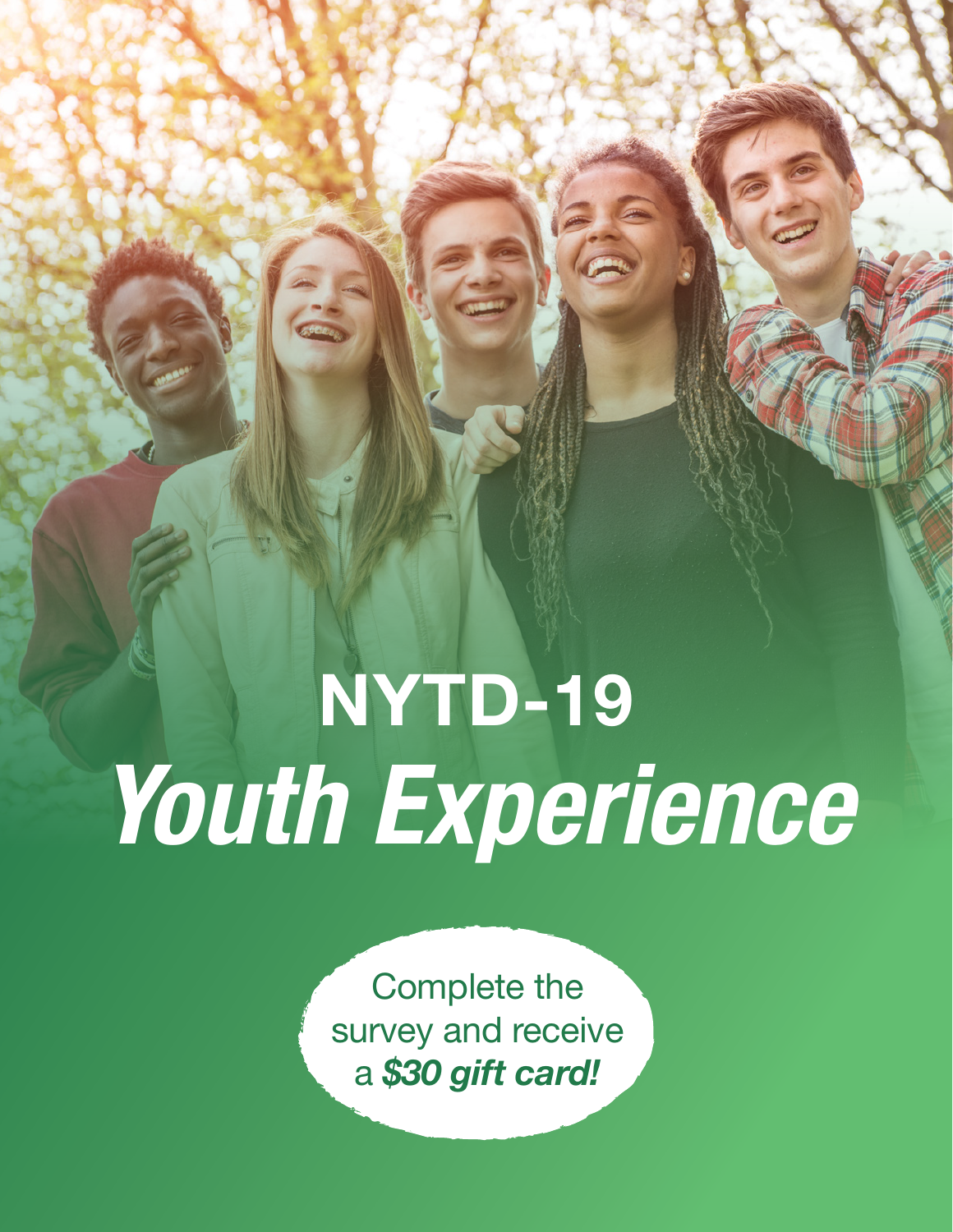# NYTD-19 *Youth Experience*

**SPORTS** 

Complete the survey and receive a *\$30 gift card!*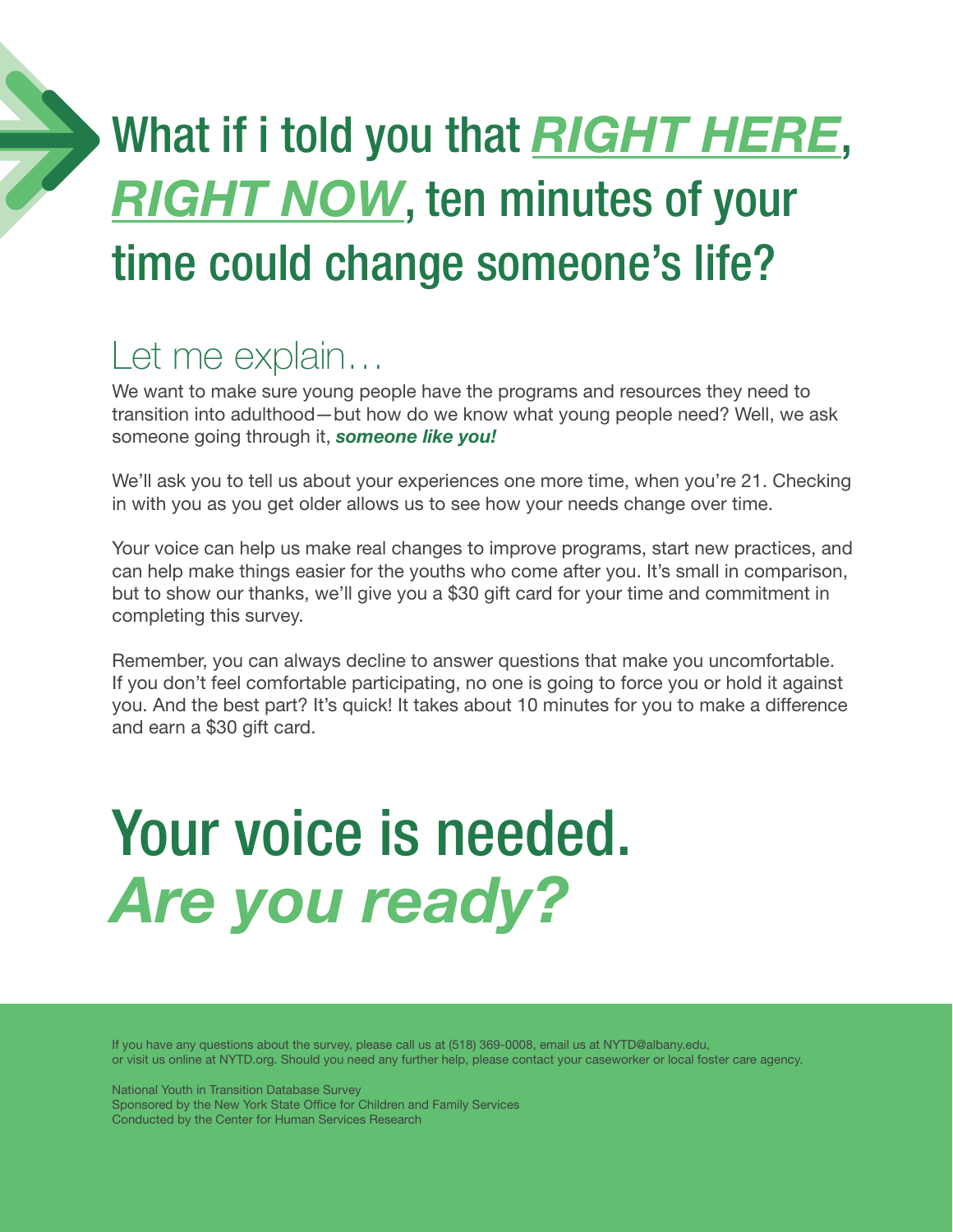## What if i told you that *RIGHT HERE*, **RIGHT NOW**, ten minutes of your time could change someone's life?

### Let me explain…

We want to make sure young people have the programs and resources they need to transition into adulthood—but how do we know what young people need? Well, we ask someone going through it, *someone like you!* 

We'll ask you to tell us about your experiences one more time, when you're 21. Checking in with you as you get older allows us to see how your needs change over time.

Your voice can help us make real changes to improve programs, start new practices, and can help make things easier for the youths who come after you. It's small in comparison, but to show our thanks, we'll give you a \$30 gift card for your time and commitment in completing this survey.

Remember, you can always decline to answer questions that make you uncomfortable. If you don't feel comfortable participating, no one is going to force you or hold it against you. And the best part? It's quick! It takes about 10 minutes for you to make a difference and earn a \$30 gift card.

## Your voice is needed. *Are you ready?*

If you have any questions about the survey, please call us at (518) 369-0008, email us at NYTD@albany.edu, or visit us online at NYTD.org. Should you need any further help, please contact your caseworker or local foster care agency.

National Youth in Transition Database Survey Sponsored by the New York State Office for Children and Family Services Conducted by the Center for Human Services Research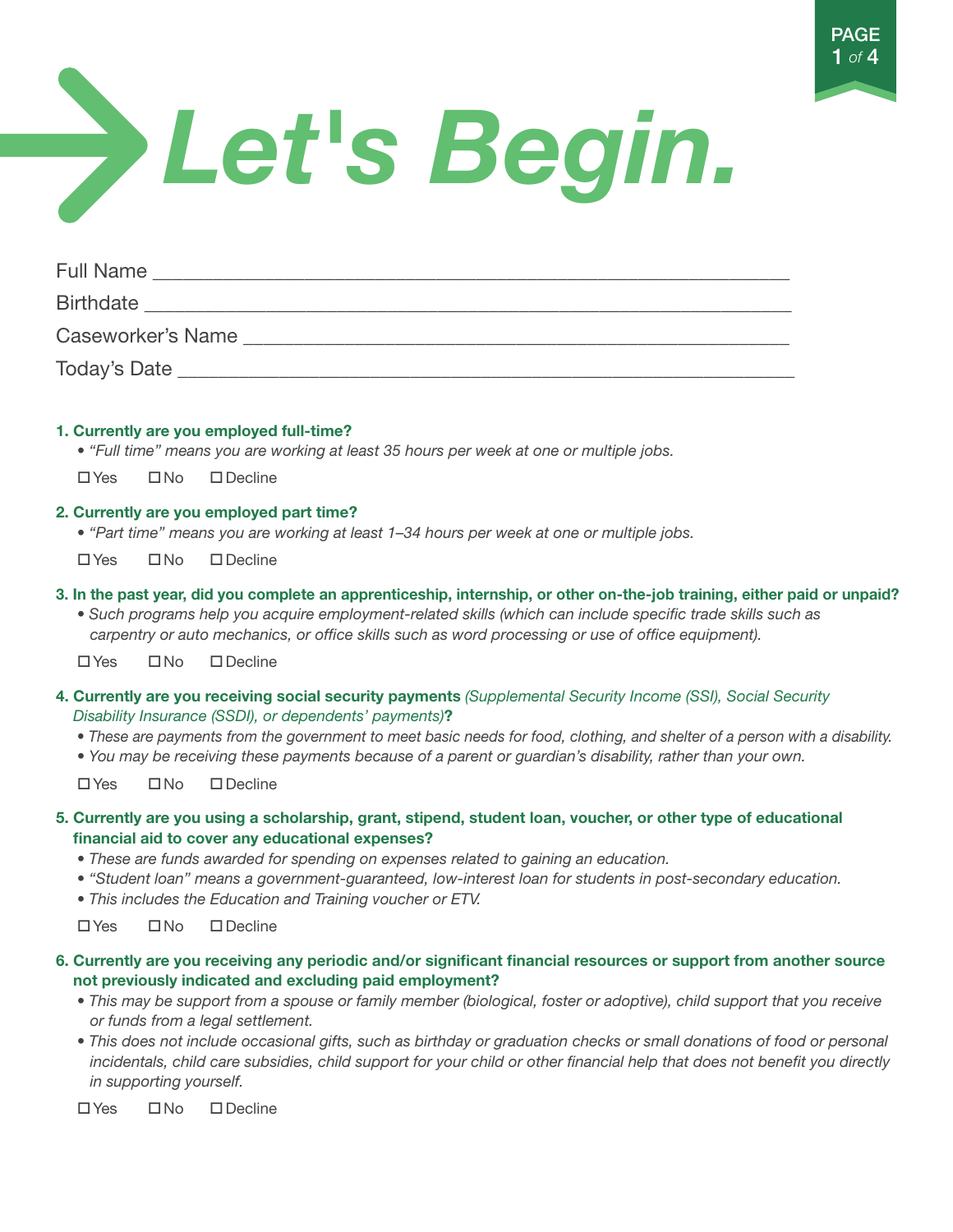

# *Let's Begin.*

| <b>Full Name</b>  |  |
|-------------------|--|
| <b>Birthdate</b>  |  |
| Caseworker's Name |  |
| Today's Date      |  |

#### 1. Currently are you employed full-time?

- *"Full time" means you are working at least 35 hours per week at one or multiple jobs.*
- $\Box$  Yes  $\Box$  No  $\Box$  Decline

#### 2. Currently are you employed part time?

- *"Part time" means you are working at least 1–34 hours per week at one or multiple jobs.*
- $\square$  Yes  $\square$  No  $\square$  Decline
- 3. In the past year, did you complete an apprenticeship, internship, or other on-the-job training, either paid or unpaid?
	- *Such programs help you acquire employment-related skills (which can include specific trade skills such as carpentry or auto mechanics, or office skills such as word processing or use of office equipment).*

 $\Box$  Yes  $\Box$  No  $\Box$  Decline

- 4. Currently are you receiving social security payments *(Supplemental Security Income (SSI), Social Security Disability Insurance (SSDI), or dependents' payments)*?
	- *These are payments from the government to meet basic needs for food, clothing, and shelter of a person with a disability.*
	- *You may be receiving these payments because of a parent or guardian's disability, rather than your own.*

 $\square$ Yes  $\square$ No  $\square$ Decline

- 5. Currently are you using a scholarship, grant, stipend, student loan, voucher, or other type of educational financial aid to cover any educational expenses?
	- *These are funds awarded for spending on expenses related to gaining an education.*
	- *"Student loan" means a government-guaranteed, low-interest loan for students in post-secondary education.*
	- *This includes the Education and Training voucher or ETV.*

 $\square$  Yes  $\square$  No  $\square$  Decline

- 6. Currently are you receiving any periodic and/or significant financial resources or support from another source not previously indicated and excluding paid employment?
	- This may be support from a spouse or family member (biological, foster or adoptive), child support that you receive  *or funds from a legal settlement.*
	- This does not include occasional gifts, such as birthday or graduation checks or small donations of food or personal  *incidentals, child care subsidies, child support for your child or other financial help that does not benefit you directly in supporting yourself.*

 $\n *W*$ es  $\n *W*$   $\n *W*$   $\n *W*$   $\n *W*$   $\n *W*$   $\n *W*$   $\n *W*$   $\n *W*$   $\n *W*$   $\n *W*$   $\n *W*$   $\n *W*$   $\n *W*$   $\n *W*$   $\n *W*$   $\n *W*$   $\n *W*$   $\n$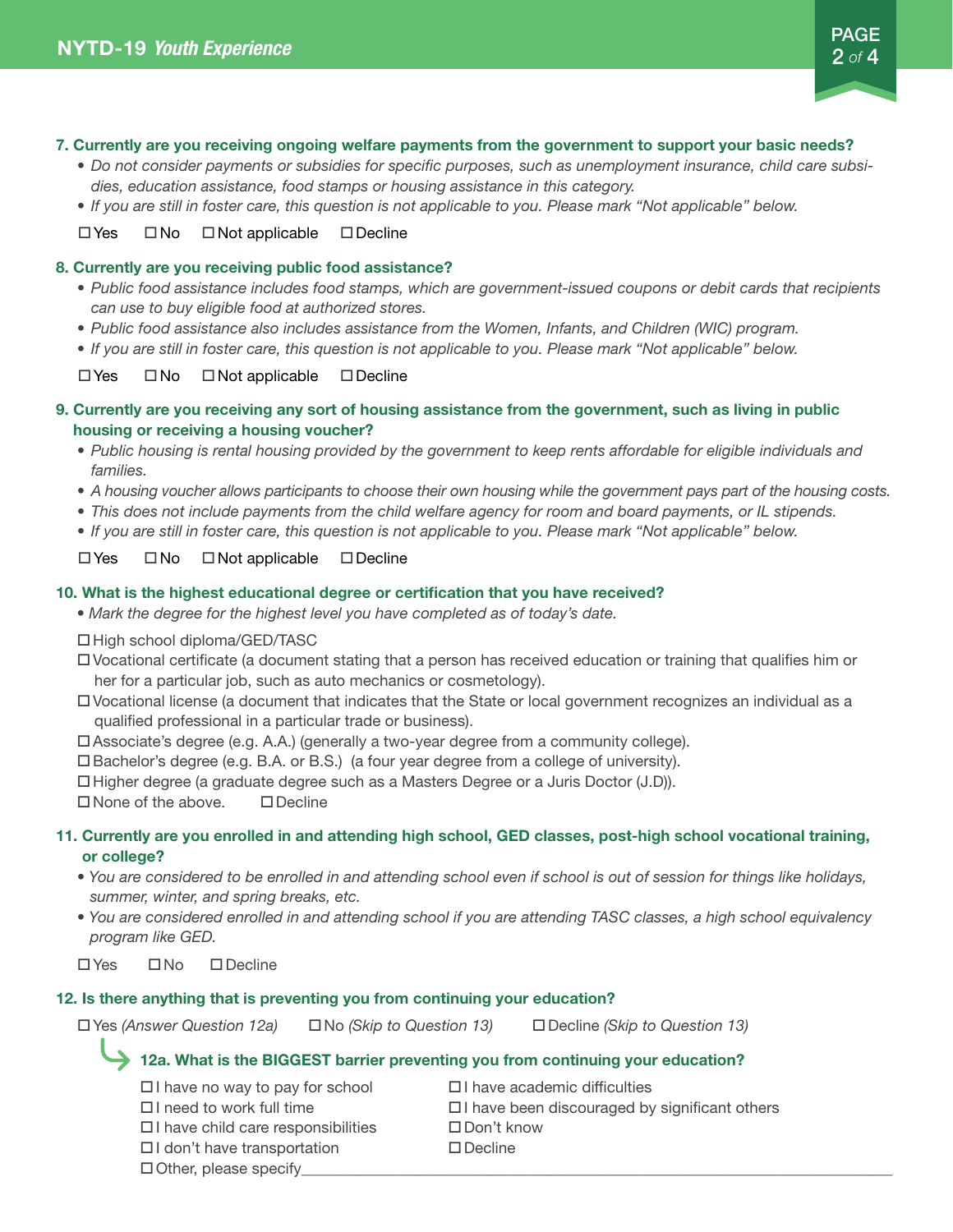

#### 7. Currently are you receiving ongoing welfare payments from the government to support your basic needs?

- *• Do not consider payments or subsidies for specific purposes, such as unemployment insurance, child care subsidies, education assistance, food stamps or housing assistance in this category.*
- *• If you are still in foster care, this question is not applicable to you. Please mark "Not applicable" below.*

#### $\Box$  Yes  $\Box$  Not applicable  $\Box$  Decline

#### 8. Currently are you receiving public food assistance?

- Public food assistance includes food stamps, which are government-issued coupons or debit cards that recipients *can use to buy eligible food at authorized stores.*
- *• Public food assistance also includes assistance from the Women, Infants, and Children (WIC) program.*
- *• If you are still in foster care, this question is not applicable to you. Please mark "Not applicable" below.*

 $\Box$  Yes  $\Box$  No  $\Box$  Not applicable  $\Box$  Decline

- 9. Currently are you receiving any sort of housing assistance from the government, such as living in public housing or receiving a housing voucher?
	- *• Public housing is rental housing provided by the government to keep rents affordable for eligible individuals and families.*
	- *• A housing voucher allows participants to choose their own housing while the government pays part of the housing costs.*
	- *• This does not include payments from the child welfare agency for room and board payments, or IL stipends.*
	- *• If you are still in foster care, this question is not applicable to you. Please mark "Not applicable" below.*

#### $\Box$  Yes  $\Box$  Not applicable  $\Box$  Decline

#### 10. What is the highest educational degree or certification that you have received?

*• Mark the degree for the highest level you have completed as of today's date.*

□ High school diploma/GED/TASC

 $\square$  Vocational certificate (a document stating that a person has received education or training that qualifies him or her for a particular job, such as auto mechanics or cosmetology).

- $\square$  Vocational license (a document that indicates that the State or local government recognizes an individual as a qualified professional in a particular trade or business).
- $\Box$  Associate's degree (e.g. A.A.) (generally a two-year degree from a community college).

 $\Box$  Bachelor's degree (e.g. B.A. or B.S.) (a four year degree from a college of university).

 $\Box$  Higher degree (a graduate degree such as a Masters Degree or a Juris Doctor (J.D)).

 $\square$  None of the above.  $\square$  Decline

#### 11. Currently are you enrolled in and attending high school, GED classes, post-high school vocational training, or college?

- *You are considered to be enrolled in and attending school even if school is out of session for things like holidays, summer, winter, and spring breaks, etc.*
- *You are considered enrolled in and attending school if you are attending TASC classes, a high school equivalency program like GED.*

 $\Box$  Yes  $\Box$  No  $\Box$  Decline

#### 12. Is there anything that is preventing you from continuing your education?

oYes *(Answer Question 12a)* oNo *(Skip to Question 13)* oDecline *(Skip to Question 13)*

#### 12a. What is the BIGGEST barrier preventing you from continuing your education?

| $\Box$ have no way to pay for school      | $\Box$ have academic difficulties                  |
|-------------------------------------------|----------------------------------------------------|
| $\Box$ I need to work full time           | $\Box$ have been discouraged by significant others |
| $\Box$ I have child care responsibilities | $\Box$ Don't know                                  |
| $\Box$ I don't have transportation        | $\Box$ Decline                                     |
| $\Box$ Other, please specify              |                                                    |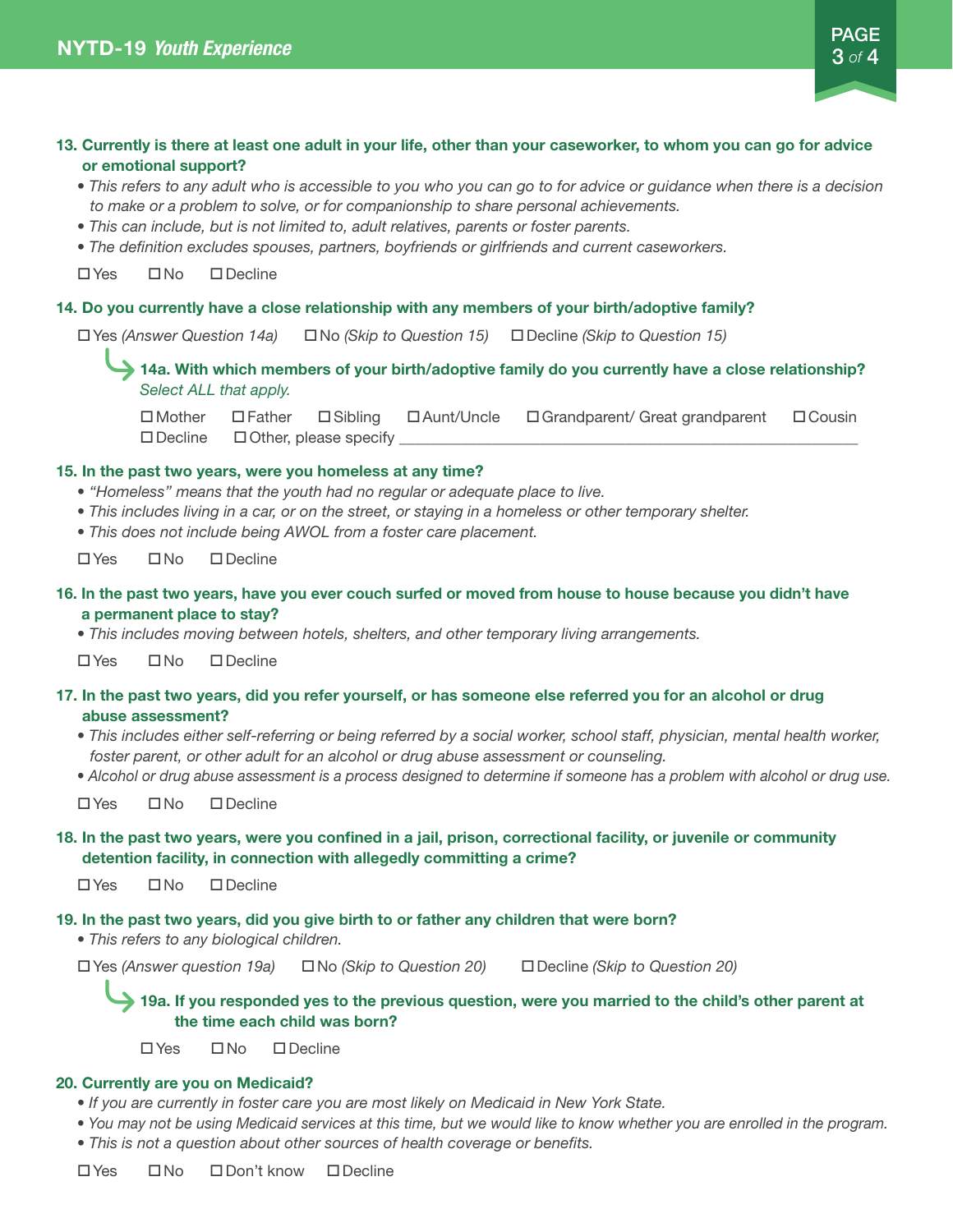#### 13. Currently is there at least one adult in your life, other than your caseworker, to whom you can go for advice or emotional support? *• This refers to any adult who is accessible to you who you can go to for advice or guidance when there is a decision to make or a problem to solve, or for companionship to share personal achievements. • This can include, but is not limited to, adult relatives, parents or foster parents.*

*• The definition excludes spouses, partners, boyfriends or girlfriends and current caseworkers.* 

 $\Box$  Yes  $\Box$  No  $\Box$  Decline

#### 14. Do you currently have a close relationship with any members of your birth/adoptive family?

oYes *(Answer Question 14a)* oNo *(Skip to Question 15)* oDecline *(Skip to Question 15)*

14a. With which members of your birth/adoptive family do you currently have a close relationship? *Select ALL that apply.*

oMother oFatheroSiblingoAunt/UncleoGrandparent/ Great grandparent oCousin □Decline □Other, please specify

#### 15. In the past two years, were you homeless at any time?

- *''Homeless'' means that the youth had no regular or adequate place to live.*
- *This includes living in a car, or on the street, or staying in a homeless or other temporary shelter.*
- *This does not include being AWOL from a foster care placement.*

 $\square$  Yes  $\square$  No  $\square$  Decline

#### 16. In the past two years, have you ever couch surfed or moved from house to house because you didn't have a permanent place to stay?

*• This includes moving between hotels, shelters, and other temporary living arrangements.* 

 $\Box$  Yes  $\Box$  No  $\Box$  Decline

#### 17. In the past two years, did you refer yourself, or has someone else referred you for an alcohol or drug abuse assessment?

- *This includes either self-referring or being referred by a social worker, school staff, physician, mental health worker, foster parent, or other adult for an alcohol or drug abuse assessment or counseling.*
- *Alcohol or drug abuse assessment is a process designed to determine if someone has a problem with alcohol or drug use.*

 $\Box$  Yes  $\Box$  No  $\Box$  Decline

#### 18. In the past two years, were you confined in a jail, prison, correctional facility, or juvenile or community detention facility, in connection with allegedly committing a crime?

 $\square$  Yes  $\square$  No  $\square$  Decline

#### 19. In the past two years, did you give birth to or father any children that were born?

*• This refers to any biological children.*

oYes *(Answer question 19a)* oNo *(Skip to Question 20)* oDecline *(Skip to Question 20)*

19a. If you responded yes to the previous question, were you married to the child's other parent at the time each child was born?

 $\Box$  Yes  $\Box$  No  $\Box$  Decline

#### 20. Currently are you on Medicaid?

- *If you are currently in foster care you are most likely on Medicaid in New York State.*
- *You may not be using Medicaid services at this time, but we would like to know whether you are enrolled in the program.*
- *This is not a question about other sources of health coverage or benefits.*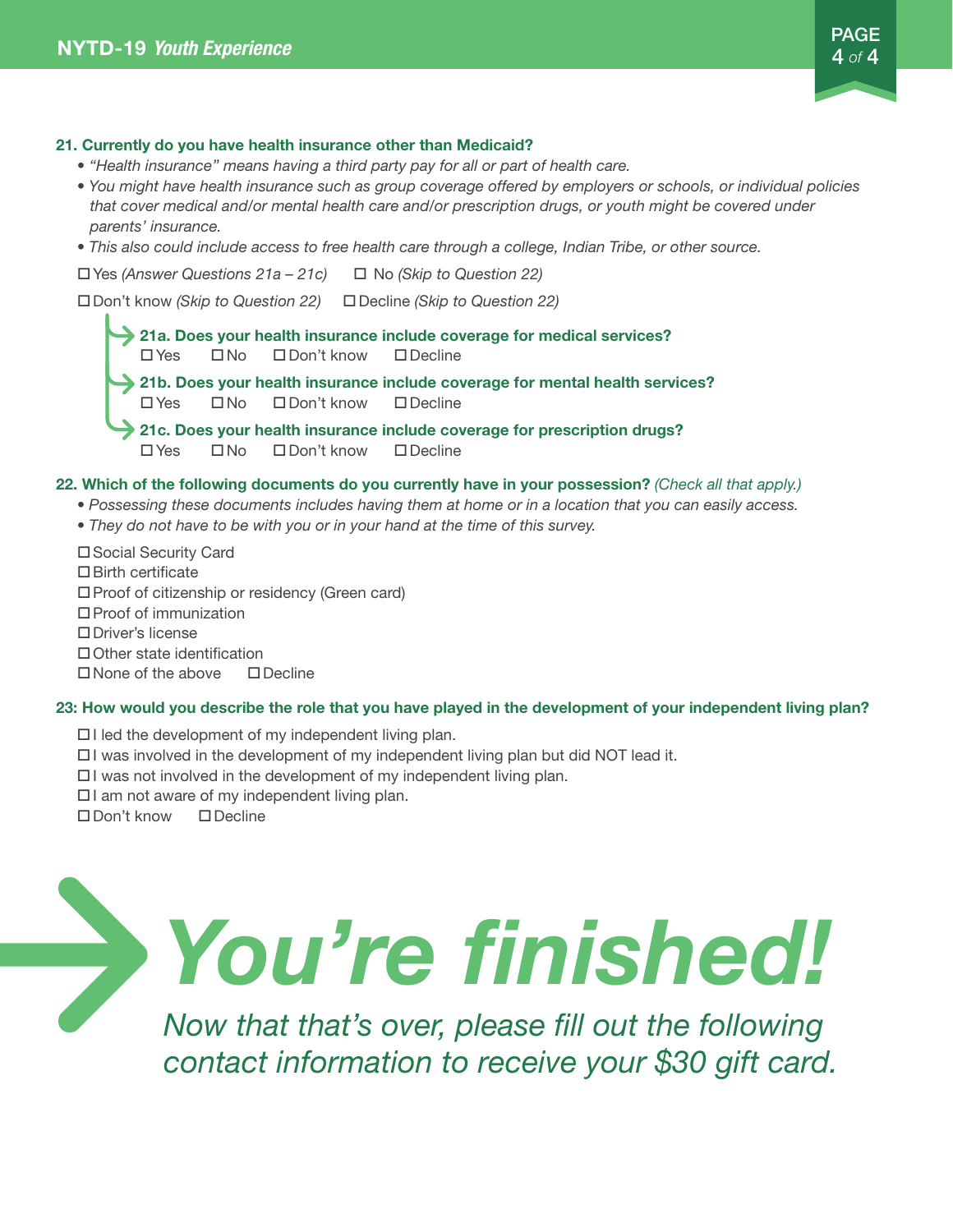#### 21. Currently do you have health insurance other than Medicaid?

- *''Health insurance'' means having a third party pay for all or part of health care.*
- *You might have health insurance such as group coverage offered by employers or schools, or individual policies that cover medical and/or mental health care and/or prescription drugs, or youth might be covered under parents' insurance.*
- *This also could include access to free health care through a college, Indian Tribe, or other source.*

oYes *(Answer Questions 21a – 21c)* o No *(Skip to Question 22)*

oDon't know *(Skip to Question 22)* oDecline *(Skip to Question 22)*

21a. Does your health insurance include coverage for medical services? OYes ONo ODon't know ODecline 21b. Does your health insurance include coverage for mental health services? OYes ONo ODon't know ODecline 21c. Does your health insurance include coverage for prescription drugs? OYes ONo ODon't know ODecline

#### 22. Which of the following documents do you currently have in your possession? *(Check all that apply.)*

- *Possessing these documents includes having them at home or in a location that you can easily access.*
- *They do not have to be with you or in your hand at the time of this survey.*

□ Social Security Card

- $\square$  Birth certificate
- $\square$  Proof of citizenship or residency (Green card)
- $\square$  Proof of immunization
- □ Driver's license
- $\Box$  Other state identification
- $\square$  None of the above  $\square$  Decline

#### 23: How would you describe the role that you have played in the development of your independent living plan?

- $\Box$  I led the development of my independent living plan.
- $\Box$  I was involved in the development of my independent living plan but did NOT lead it.
- $\Box$  I was not involved in the development of my independent living plan.
- $\Box$  I am not aware of my independent living plan.
- $\square$  Don't know  $\square$  Decline

## *You're finished!*

*Now that that's over, please fill out the following contact information to receive your \$30 gift card.*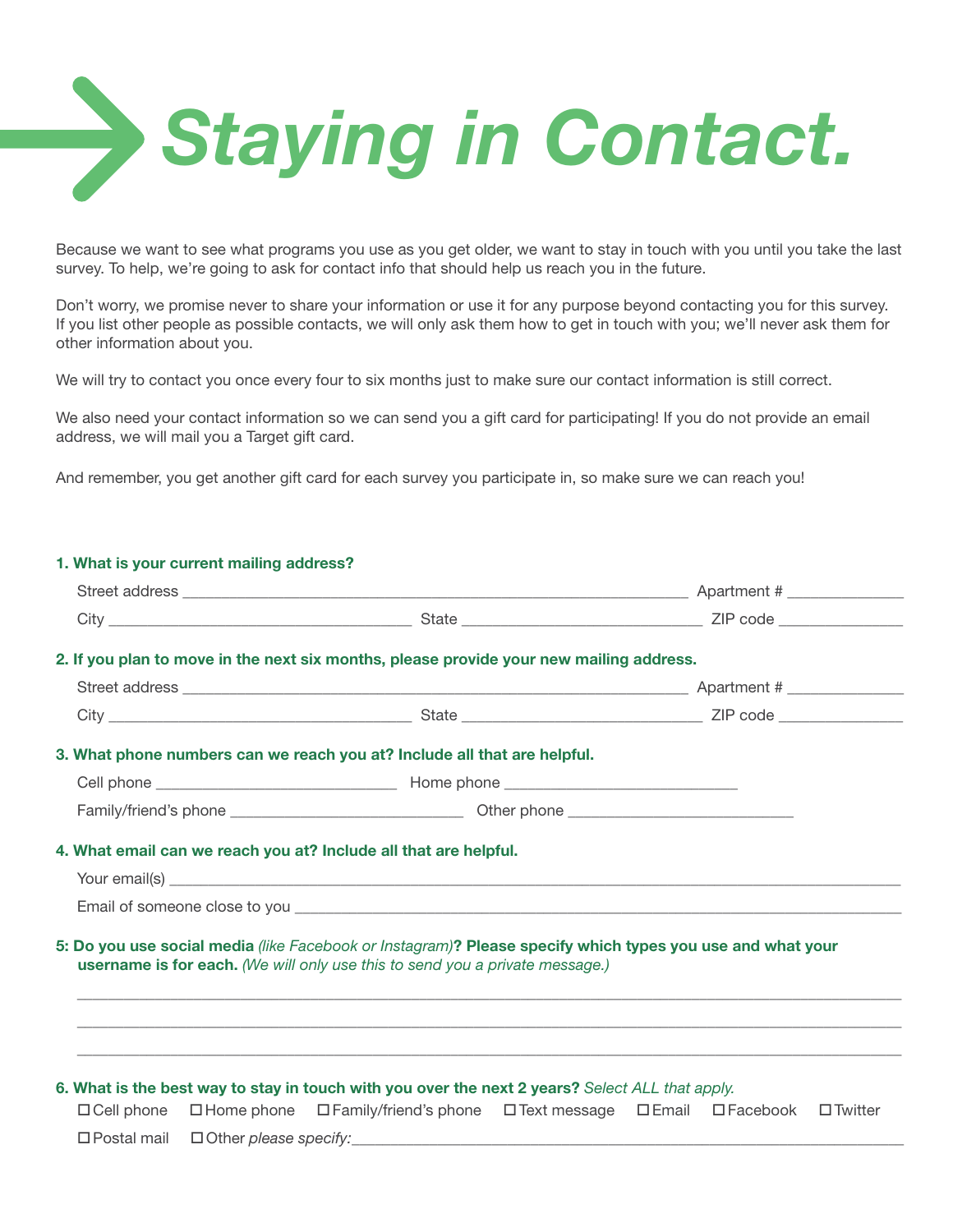

Because we want to see what programs you use as you get older, we want to stay in touch with you until you take the last survey. To help, we're going to ask for contact info that should help us reach you in the future.

Don't worry, we promise never to share your information or use it for any purpose beyond contacting you for this survey. If you list other people as possible contacts, we will only ask them how to get in touch with you; we'll never ask them for other information about you.

We will try to contact you once every four to six months just to make sure our contact information is still correct.

We also need your contact information so we can send you a gift card for participating! If you do not provide an email address, we will mail you a Target gift card.

And remember, you get another gift card for each survey you participate in, so make sure we can reach you!

1. What is your current mailing address?

| <b>1. What is your current mannity address:</b> |                                                                                                                                                                                                  |  |  |
|-------------------------------------------------|--------------------------------------------------------------------------------------------------------------------------------------------------------------------------------------------------|--|--|
|                                                 |                                                                                                                                                                                                  |  |  |
|                                                 |                                                                                                                                                                                                  |  |  |
|                                                 | 2. If you plan to move in the next six months, please provide your new mailing address.                                                                                                          |  |  |
|                                                 |                                                                                                                                                                                                  |  |  |
|                                                 |                                                                                                                                                                                                  |  |  |
|                                                 | 3. What phone numbers can we reach you at? Include all that are helpful.                                                                                                                         |  |  |
|                                                 |                                                                                                                                                                                                  |  |  |
|                                                 |                                                                                                                                                                                                  |  |  |
|                                                 | 4. What email can we reach you at? Include all that are helpful.                                                                                                                                 |  |  |
|                                                 |                                                                                                                                                                                                  |  |  |
|                                                 | 5: Do you use social media (like Facebook or Instagram)? Please specify which types you use and what your<br>username is for each. (We will only use this to send you a private message.)        |  |  |
|                                                 | 6. What is the best way to stay in touch with you over the next 2 years? Select ALL that apply.<br>□ Cell phone □ Home phone □ Family/friend's phone □ Text message □ Email □ Facebook □ Twitter |  |  |
|                                                 |                                                                                                                                                                                                  |  |  |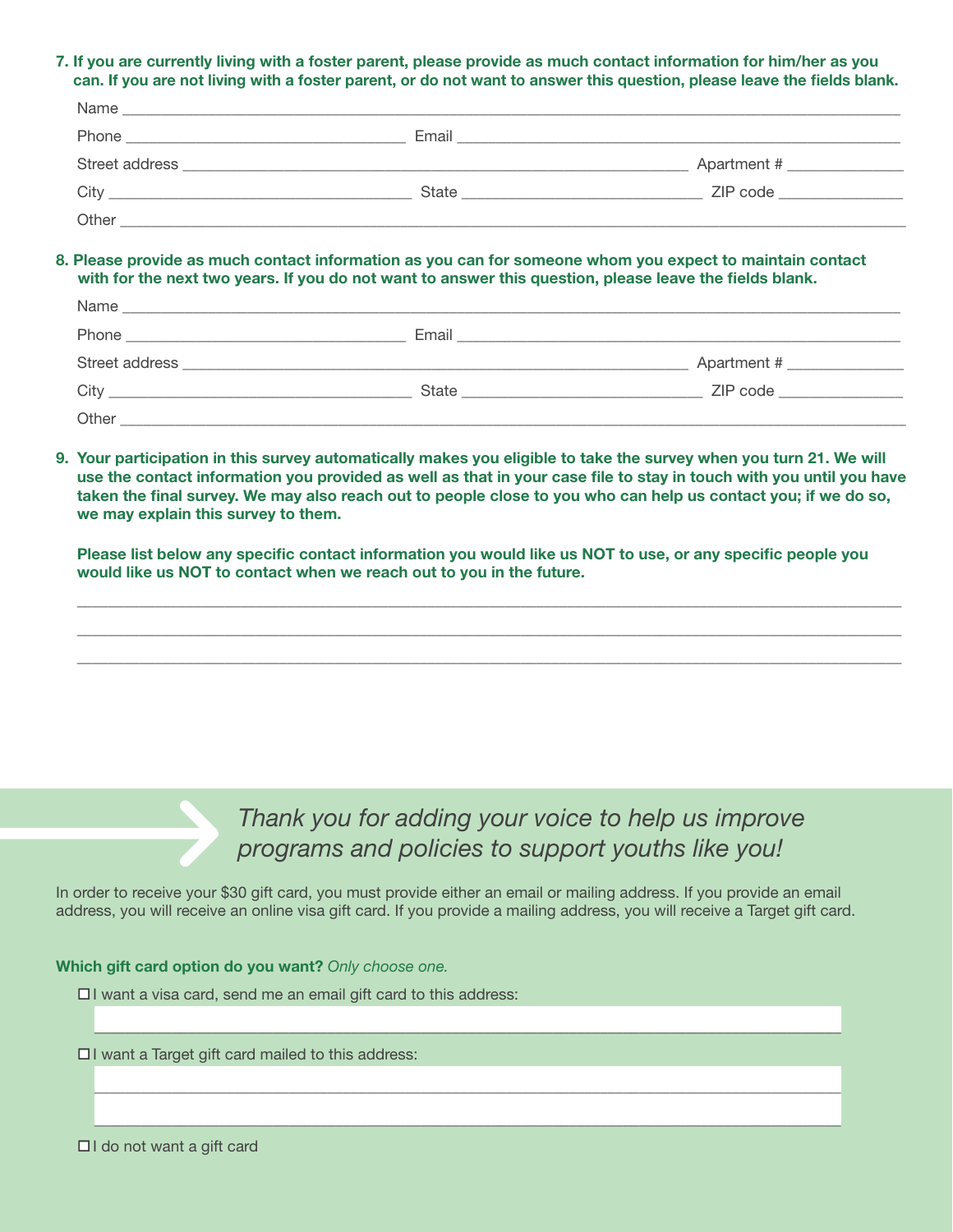7. If you are currently living with a foster parent, please provide as much contact information for him/her as you can. If you are not living with a foster parent, or do not want to answer this question, please leave the fields blank.

| Name                                                                                                                                                                                                                                          |       |             |
|-----------------------------------------------------------------------------------------------------------------------------------------------------------------------------------------------------------------------------------------------|-------|-------------|
| Phone<br><u> 1980 - Jan Bernard Bernard, mengang bermula pada 1980 - Perang Bernard Bernard Bernard Bernard Bernard Bernard Bernard Bernard Bernard Bernard Bernard Bernard Bernard Bernard Bernard Bernard Bernard Bernard Bernard Berna</u> | Email |             |
| Street address                                                                                                                                                                                                                                |       | Apartment # |
| City<br><u> Alexandro de la contrada de la contrada de la contrada de la contrada de la contrada de la contrada de la con</u>                                                                                                                 | State | ZIP code    |
| Other                                                                                                                                                                                                                                         |       |             |

#### 8. Please provide as much contact information as you can for someone whom you expect to maintain contact with for the next two years. If you do not want to answer this question, please leave the fields blank.

| Name<br><u> 1980 - Jan Barbara, martxar a shekara 1980 - Ann an t-Afrika a shekara 1980 - Ann an t-Afrika a shekara 1980</u> |       |                                  |  |
|------------------------------------------------------------------------------------------------------------------------------|-------|----------------------------------|--|
| Phone                                                                                                                        | Email |                                  |  |
| Street address                                                                                                               |       | Apartment # ____________         |  |
| City<br><u> 1980 - Jan Barat, martin amerikan basar dan berasal dari per</u>                                                 | State | ZIP code in the code in the code |  |
| Other                                                                                                                        |       |                                  |  |

9. Your participation in this survey automatically makes you eligible to take the survey when you turn 21. We will use the contact information you provided as well as that in your case file to stay in touch with you until you have taken the final survey. We may also reach out to people close to you who can help us contact you; if we do so, we may explain this survey to them.

Please list below any specific contact information you would like us NOT to use, or any specific people you would like us NOT to contact when we reach out to you in the future.

\_\_\_\_\_\_\_\_\_\_\_\_\_\_\_\_\_\_\_\_\_\_\_\_\_\_\_\_\_\_\_\_\_\_\_\_\_\_\_\_\_\_\_\_\_\_\_\_\_\_\_\_\_\_\_\_\_\_\_\_\_\_\_\_\_\_\_\_\_\_\_\_\_\_\_\_\_\_\_\_\_\_\_\_\_\_\_\_\_\_\_\_\_\_\_\_\_\_\_\_\_\_\_\_\_\_ \_\_\_\_\_\_\_\_\_\_\_\_\_\_\_\_\_\_\_\_\_\_\_\_\_\_\_\_\_\_\_\_\_\_\_\_\_\_\_\_\_\_\_\_\_\_\_\_\_\_\_\_\_\_\_\_\_\_\_\_\_\_\_\_\_\_\_\_\_\_\_\_\_\_\_\_\_\_\_\_\_\_\_\_\_\_\_\_\_\_\_\_\_\_\_\_\_\_\_\_\_\_\_\_\_\_ \_\_\_\_\_\_\_\_\_\_\_\_\_\_\_\_\_\_\_\_\_\_\_\_\_\_\_\_\_\_\_\_\_\_\_\_\_\_\_\_\_\_\_\_\_\_\_\_\_\_\_\_\_\_\_\_\_\_\_\_\_\_\_\_\_\_\_\_\_\_\_\_\_\_\_\_\_\_\_\_\_\_\_\_\_\_\_\_\_\_\_\_\_\_\_\_\_\_\_\_\_\_\_\_\_\_



In order to receive your \$30 gift card, you must provide either an email or mailing address. If you provide an email address, you will receive an online visa gift card. If you provide a mailing address, you will receive a Target gift card.

 $\bar{a}$  , and the contribution of the contribution of the contribution of the contribution of the contribution of the contribution of the contribution of the contribution of the contribution of the contribution of the con

 $\mathcal{L}_\text{max}$  , and the set of the set of the set of the set of the set of the set of the set of the set of the set of the set of the set of the set of the set of the set of the set of the set of the set of the set of the

 $\mathcal{L}_\mathcal{L} = \{ \mathcal{L}_\mathcal{L} = \{ \mathcal{L}_\mathcal{L} = \{ \mathcal{L}_\mathcal{L} = \{ \mathcal{L}_\mathcal{L} = \{ \mathcal{L}_\mathcal{L} = \{ \mathcal{L}_\mathcal{L} = \{ \mathcal{L}_\mathcal{L} = \{ \mathcal{L}_\mathcal{L} = \{ \mathcal{L}_\mathcal{L} = \{ \mathcal{L}_\mathcal{L} = \{ \mathcal{L}_\mathcal{L} = \{ \mathcal{L}_\mathcal{L} = \{ \mathcal{L}_\mathcal{L} = \{ \mathcal{L}_\mathcal{$ 

#### Which gift card option do you want? *Only choose one.*

 $\Box$  I want a visa card, send me an email gift card to this address:

 $\Box$  I want a Target gift card mailed to this address:

 $\Box$ I do not want a gift card